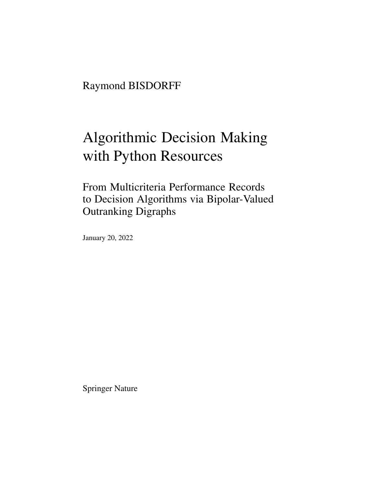Raymond BISDORFF

# Algorithmic Decision Making with Python Resources

From Multicriteria Performance Records to Decision Algorithms via Bipolar-Valued Outranking Digraphs

January 20, 2022

Springer Nature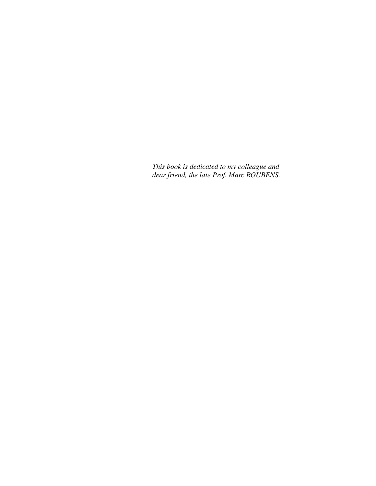*This book is dedicated to my colleague and dear friend, the late Prof. Marc ROUBENS.*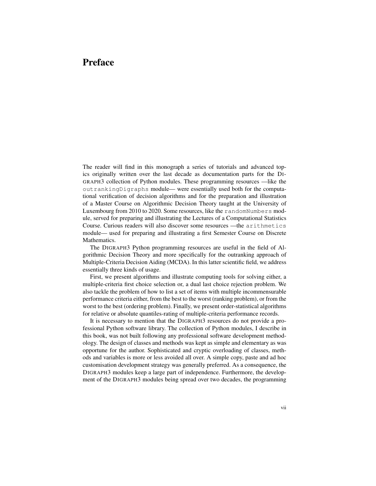# Preface

The reader will find in this monograph a series of tutorials and advanced topics originally written over the last decade as documentation parts for the DI-GRAPH3 collection of Python modules. These programming resources —like the outrankingDigraphs module— were essentially used both for the computational verification of decision algorithms and for the preparation and illustration of a Master Course on Algorithmic Decision Theory taught at the University of Luxembourg from 2010 to 2020. Some resources, like the randomNumbers module, served for preparing and illustrating the Lectures of a Computational Statistics Course. Curious readers will also discover some resources —the arithmetics module— used for preparing and illustrating a first Semester Course on Discrete Mathematics.

The DIGRAPH3 Python programming resources are useful in the field of Algorithmic Decision Theory and more specifically for the outranking approach of Multiple-Criteria Decision Aiding (MCDA). In this latter scientific field, we address essentially three kinds of usage.

First, we present algorithms and illustrate computing tools for solving either, a multiple-criteria first choice selection or, a dual last choice rejection problem. We also tackle the problem of how to list a set of items with multiple incommensurable performance criteria either, from the best to the worst (ranking problem), or from the worst to the best (ordering problem). Finally, we present order-statistical algorithms for relative or absolute quantiles-rating of multiple-criteria performance records.

It is necessary to mention that the DIGRAPH3 resources do not provide a professional Python software library. The collection of Python modules, I describe in this book, was not built following any professional software development methodology. The design of classes and methods was kept as simple and elementary as was opportune for the author. Sophisticated and cryptic overloading of classes, methods and variables is more or less avoided all over. A simple copy, paste and ad hoc customisation development strategy was generally preferred. As a consequence, the DIGRAPH3 modules keep a large part of independence. Furthermore, the development of the DIGRAPH3 modules being spread over two decades, the programming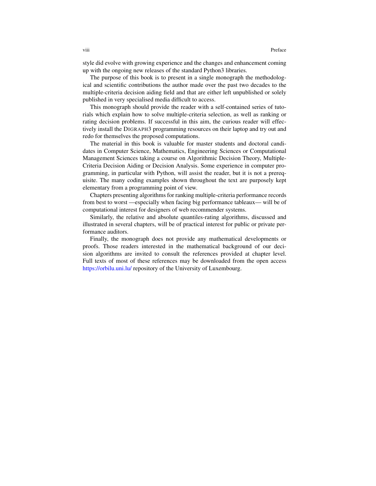style did evolve with growing experience and the changes and enhancement coming up with the ongoing new releases of the standard Python3 libraries.

The purpose of this book is to present in a single monograph the methodological and scientific contributions the author made over the past two decades to the multiple-criteria decision aiding field and that are either left unpublished or solely published in very specialised media difficult to access.

This monograph should provide the reader with a self-contained series of tutorials which explain how to solve multiple-criteria selection, as well as ranking or rating decision problems. If successful in this aim, the curious reader will effectively install the DIGRAPH3 programming resources on their laptop and try out and redo for themselves the proposed computations.

The material in this book is valuable for master students and doctoral candidates in Computer Science, Mathematics, Engineering Sciences or Computational Management Sciences taking a course on Algorithmic Decision Theory, Multiple-Criteria Decision Aiding or Decision Analysis. Some experience in computer programming, in particular with Python, will assist the reader, but it is not a prerequisite. The many coding examples shown throughout the text are purposely kept elementary from a programming point of view.

Chapters presenting algorithms for ranking multiple-criteria performance records from best to worst —especially when facing big performance tableaux— will be of computational interest for designers of web recommender systems.

Similarly, the relative and absolute quantiles-rating algorithms, discussed and illustrated in several chapters, will be of practical interest for public or private performance auditors.

Finally, the monograph does not provide any mathematical developments or proofs. Those readers interested in the mathematical background of our decision algorithms are invited to consult the references provided at chapter level. Full texts of most of these references may be downloaded from the open access <https://orbilu.uni.lu/> repository of the University of Luxembourg.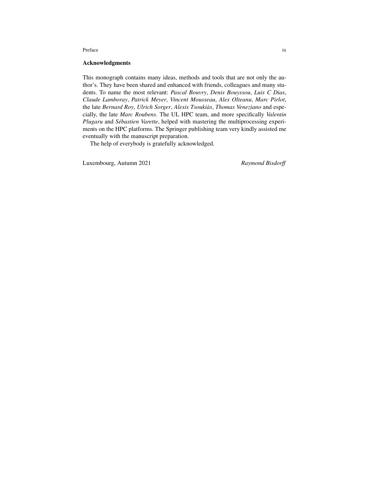#### Preface ix

# Acknowledgments

This monograph contains many ideas, methods and tools that are not only the author's. They have been shared and enhanced with friends, colleagues and many students. To name the most relevant: *Pascal Bouvry*, *Denis Bouyssou*, *Luis C Dias*, *Claude Lamboray*, *Patrick Meyer*, *Vincent Mousseau*, *Alex Olteanu*, *Marc Pirlot*, the late *Bernard Roy*, *Ulrich Sorger*, *Alexis Tsoukias`* , *Thomas Veneziano* and especially, the late *Marc Roubens*. The UL HPC team, and more specifically *Valentin Plugaru* and *Sébastien Varette*, helped with mastering the multiprocessing experiments on the HPC platforms. The Springer publishing team very kindly assisted me eventually with the manuscript preparation.

The help of everybody is gratefully acknowledged.

Luxembourg, Autumn 2021 *Raymond Bisdorff*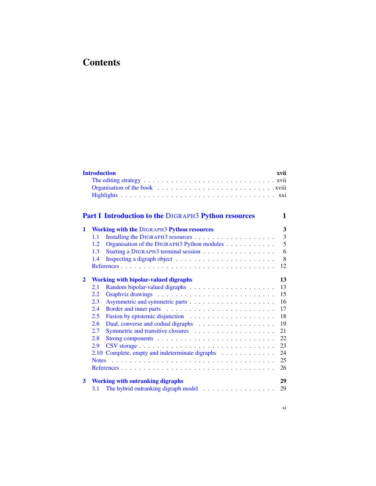# **Contents**

|                | <b>Introduction</b>                                                                    | xvii     |
|----------------|----------------------------------------------------------------------------------------|----------|
|                | <b>Part I Introduction to the DIGRAPH3 Python resources</b>                            | 1        |
| 1              | <b>Working with the DIGRAPH3 Python resources</b>                                      | 3        |
|                | 1.1                                                                                    | 3        |
|                | Organisation of the DIGRAPH3 Python modules<br>1.2                                     | 5        |
|                | Starting a DIGRAPH3 terminal session<br>1.3                                            | 6        |
|                | 1.4                                                                                    | 8        |
|                |                                                                                        | 12       |
| $\overline{2}$ | <b>Working with bipolar-valued digraphs</b>                                            | 13       |
|                | 2.1                                                                                    | 13       |
|                | 2.2                                                                                    | 15       |
|                | 2.3                                                                                    | 16       |
|                | 2.4                                                                                    | 17       |
|                |                                                                                        | 18       |
|                | 2.5<br>2.6                                                                             | 19       |
|                |                                                                                        |          |
|                | 2.7                                                                                    | 21       |
|                | 2.8<br>Strong components $\dots \dots \dots \dots \dots \dots \dots \dots \dots \dots$ | 22       |
|                | 2.9                                                                                    | 23       |
|                | 2.10                                                                                   | 24       |
|                | <b>Notes</b>                                                                           | 25       |
|                |                                                                                        | 26       |
| 3              | <b>Working with outranking digraphs</b><br>3.1                                         | 29<br>29 |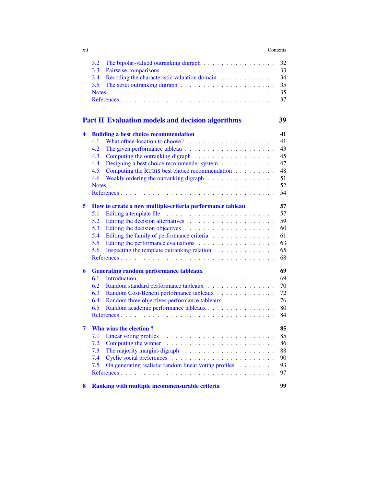#### xii Contents

|   | 3.2<br>The bipolar-valued outranking digraph                 | 32 |
|---|--------------------------------------------------------------|----|
|   | 3.3                                                          | 33 |
|   | 3.4<br>Recoding the characteristic valuation domain          | 34 |
|   | 3.5                                                          | 35 |
|   | <b>Notes</b>                                                 | 35 |
|   |                                                              | 37 |
|   | <b>Part II Evaluation models and decision algorithms</b>     | 39 |
| 4 | <b>Building a best choice recommendation</b>                 | 41 |
|   | 4.1                                                          | 41 |
|   | 4.2                                                          | 43 |
|   | 4.3                                                          | 45 |
|   | 4.4<br>Designing a best choice recommender system            | 47 |
|   | Computing the RUBIS best choice recommendation<br>4.5        | 48 |
|   | 4.6<br>Weakly ordering the outranking digraph $\ldots$ ,     | 51 |
|   | <b>Notes</b>                                                 | 52 |
|   |                                                              | 54 |
| 5 | How to create a new multiple-criteria performance tableau    | 57 |
|   | 5.1                                                          | 57 |
|   | 5.2                                                          | 59 |
|   | 5.3                                                          | 60 |
|   | 5.4<br>Editing the family of performance criteria            | 61 |
|   | 5.5                                                          | 63 |
|   | 5.6<br>Inspecting the template outranking relation           | 65 |
|   |                                                              | 68 |
| 6 | <b>Generating random performance tableaux</b>                | 69 |
|   | 6.1                                                          | 69 |
|   | 6.2<br>Random standard performance tableaux                  | 70 |
|   | 6.3<br>Random Cost-Benefit performance tableaux              | 72 |
|   | Random three objectives performance tableaux<br>6.4          | 76 |
|   | 6.5<br>Random academic performance tableaux                  | 80 |
|   |                                                              | 84 |
| 7 | Who wins the election?                                       | 85 |
|   | 7.1                                                          | 85 |
|   | 7.2                                                          | 86 |
|   | 7.3                                                          | 88 |
|   | 7.4                                                          | 90 |
|   | 7.5<br>On generating realistic random linear voting profiles | 93 |
|   |                                                              | 97 |
| 8 | Ranking with multiple incommensurable criteria               | 99 |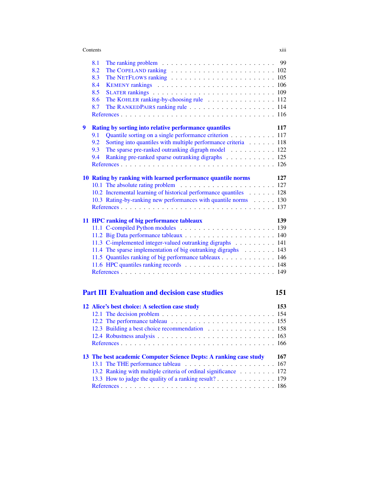#### **Contents** xiii

|   | 8.1                                                                                                        |
|---|------------------------------------------------------------------------------------------------------------|
|   | The COPELAND ranking $\ldots \ldots \ldots \ldots \ldots \ldots \ldots \ldots \ldots 102$<br>8.2           |
|   | The NETFLOWS ranking $\ldots \ldots \ldots \ldots \ldots \ldots \ldots \ldots \ldots 105$<br>8.3           |
|   | 8.4                                                                                                        |
|   | 8.5                                                                                                        |
|   | The KOHLER ranking-by-choosing rule 112<br>8.6                                                             |
|   | 8.7                                                                                                        |
|   |                                                                                                            |
| 9 | Rating by sorting into relative performance quantiles<br>117                                               |
|   | Quantile sorting on a single performance criterion 117<br>9.1                                              |
|   | Sorting into quantiles with multiple performance criteria 118<br>9.2                                       |
|   | The sparse pre-ranked outranking digraph model 122<br>9.3                                                  |
|   | Ranking pre-ranked sparse outranking digraphs 125<br>9.4                                                   |
|   |                                                                                                            |
|   |                                                                                                            |
|   | 10 Rating by ranking with learned performance quantile norms<br>127                                        |
|   |                                                                                                            |
|   | 10.2 Incremental learning of historical performance quantiles 128                                          |
|   | 10.3 Rating-by-ranking new performances with quantile norms 130                                            |
|   |                                                                                                            |
|   | 139<br>11 HPC ranking of big performance tableaux                                                          |
|   |                                                                                                            |
|   |                                                                                                            |
|   | 11.3 C-implemented integer-valued outranking digraphs 141                                                  |
|   | 11.4 The sparse implementation of big outranking digraphs 143                                              |
|   | 11.5 Quantiles ranking of big performance tableaux 146                                                     |
|   |                                                                                                            |
|   |                                                                                                            |
|   |                                                                                                            |
|   |                                                                                                            |
|   | <b>Part III Evaluation and decision case studies</b><br>151                                                |
|   | 12 Alice's best choice: A selection case study<br>153                                                      |
|   | 12.1 The decision problem $\ldots$ , $\ldots$ , $\ldots$ , $\ldots$ , $\ldots$ , $\ldots$ , $\ldots$ , 154 |
|   |                                                                                                            |
|   | 12.3 Building a best choice recommendation 158                                                             |
|   |                                                                                                            |
|   |                                                                                                            |
|   | 167                                                                                                        |
|   | 13 The best academic Computer Science Depts: A ranking case study<br>167                                   |
|   | 13.2 Ranking with multiple criteria of ordinal significance<br>172                                         |
|   | 13.3 How to judge the quality of a ranking result?<br>179                                                  |
|   | 186                                                                                                        |
|   |                                                                                                            |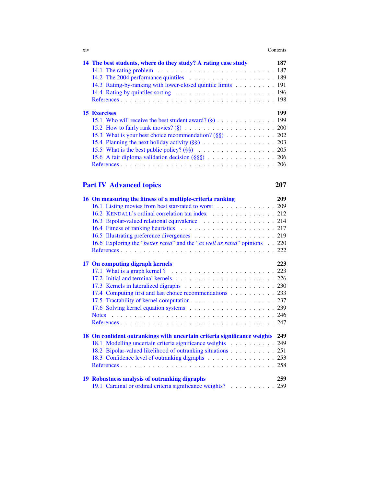| <b>X1V</b> | Contents |  |
|------------|----------|--|
|            |          |  |

| 14 The best students, where do they study? A rating case study                                      | 187 |
|-----------------------------------------------------------------------------------------------------|-----|
| 14.1 The rating problem $\ldots \ldots \ldots \ldots \ldots \ldots \ldots \ldots \ldots \ldots 187$ |     |
|                                                                                                     |     |
| 14.3 Rating-by-ranking with lower-closed quintile limits 191                                        |     |
|                                                                                                     |     |
|                                                                                                     |     |
| <b>15 Exercises</b>                                                                                 | 199 |
|                                                                                                     |     |
|                                                                                                     |     |
| 15.3 What is your best choice recommendation? (§§) 202                                              |     |
|                                                                                                     |     |
|                                                                                                     |     |
| 15.6 A fair diploma validation decision $(\S \S \S)$ 206                                            |     |
|                                                                                                     |     |

# [Part IV Advanced topics](#page--1-0) 207

| 16 On measuring the fitness of a multiple-criteria ranking                   | 209 |
|------------------------------------------------------------------------------|-----|
| 16.1 Listing movies from best star-rated to worst 209                        |     |
| 16.2 KENDALL's ordinal correlation tau index 212                             |     |
| 16.3 Bipolar-valued relational equivalence 214                               |     |
|                                                                              |     |
|                                                                              |     |
| 16.6 Exploring the "better rated" and the "as well as rated" opinions 220    |     |
|                                                                              |     |
| 17 On computing digraph kernels                                              | 223 |
|                                                                              |     |
|                                                                              |     |
|                                                                              |     |
| 17.4 Computing first and last choice recommendations 233                     |     |
| 17.5 Tractability of kernel computation 237                                  |     |
|                                                                              |     |
|                                                                              |     |
|                                                                              |     |
|                                                                              |     |
| 18 On confident outrankings with uncertain criteria significance weights 249 |     |
| 18.1 Modelling uncertain criteria significance weights 249                   |     |
| 18.2 Bipolar-valued likelihood of outranking situations 251                  |     |
| 18.3 Confidence level of outranking digraphs 253                             |     |
|                                                                              |     |
| 19 Robustness analysis of outranking digraphs                                | 259 |
| 19.1 Cardinal or ordinal criteria significance weights? 259                  |     |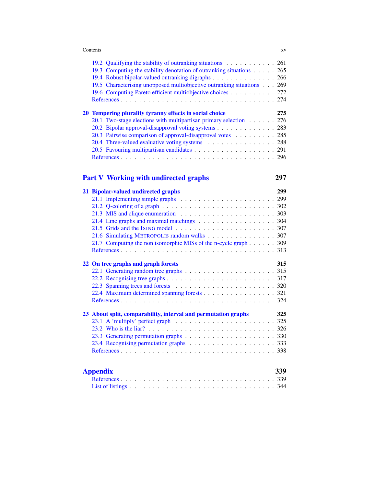| XV |
|----|
|    |

| 19.2 Qualifying the stability of outranking situations 261             |     |
|------------------------------------------------------------------------|-----|
| 19.3 Computing the stability denotation of outranking situations 265   |     |
| 19.4 Robust bipolar-valued outranking digraphs 266                     |     |
| 19.5 Characterising unopposed multiobjective outranking situations 269 |     |
| 19.6 Computing Pareto efficient multiobjective choices 272             |     |
|                                                                        |     |
|                                                                        |     |
|                                                                        |     |
| 20 Tempering plurality tyranny effects in social choice                | 275 |
| 20.1 Two-stage elections with multipartisan primary selection 276      |     |
| 20.2 Bipolar approval-disapproval voting systems 283                   |     |
| 20.3 Pairwise comparison of approval-disapproval votes 285             |     |
| 20.4 Three-valued evaluative voting systems 288                        |     |
|                                                                        |     |
|                                                                        |     |

# [Part V Working with undirected graphs](#page--1-0) 297

# [21 Bipolar-valued undirected graphs](#page--1-0) 299 [21.1 Implementing simple graphs](#page--1-1) . . . . . . . . . . . . . . . . . . . . . 299 [21.2 Q-coloring of a graph](#page--1-89) . . . . . . . . . . . . . . . . . . . . . . . . . 302 [21.3 MIS and clique enumeration](#page--1-90) . . . . . . . . . . . . . . . . . . . . . 303 [21.4 Line graphs and maximal matchings](#page--1-91) . . . . . . . . . . . . . . . . . . 304 [21.5 Grids and the I](#page--1-39)SING model . . . . . . . . . . . . . . . . . . . . . . 307 [21.6 Simulating M](#page--1-55)ETROPOLIS random walks . . . . . . . . . . . . . . . 307 [21.7 Computing the non isomorphic MISs of the n-cycle graph](#page--1-92) . . . . . . 309 [References](#page--1-14) . . . . . . . . . . . . . . . . . . . . . . . . . . . . . . . . . . 313 [22 On tree graphs and graph forests](#page--1-0) 315 [22.1 Generating random tree graphs](#page--1-1) . . . . . . . . . . . . . . . . . . . . 315 [22.2 Recognising tree graphs](#page--1-93) . . . . . . . . . . . . . . . . . . . . . . . . 317 [22.3 Spanning trees and forests](#page--1-94) . . . . . . . . . . . . . . . . . . . . . . 320 [22.4 Maximum determined spanning forests](#page--1-95) . . . . . . . . . . . . . . . . . 321 [References](#page--1-44) . . . . . . . . . . . . . . . . . . . . . . . . . . . . . . . . . . 324 [23 About split, comparability, interval and permutation graphs](#page--1-0) 325 [23.1 A 'multiply' perfect graph](#page--1-72)  $\ldots \ldots \ldots \ldots \ldots \ldots \ldots \ldots \ldots$  325 [23.2 Who is the liar?](#page--1-96) . . . . . . . . . . . . . . . . . . . . . . . . . . . . 326 [23.3 Generating permutation graphs](#page--1-0) . . . . . . . . . . . . . . . . . . . . 330 [23.4 Recognising permutation graphs](#page--1-97) . . . . . . . . . . . . . . . . . . . 333 [References](#page--1-36) . . . . . . . . . . . . . . . . . . . . . . . . . . . . . . . . . . 338 [Appendix](#page--1-0) 339 [References](#page--1-98) . . . . . . . . . . . . . . . . . . . . . . . . . . . . . . . . . . 339 [List of listings](#page--1-99) . . . . . . . . . . . . . . . . . . . . . . . . . . . . . . . . 344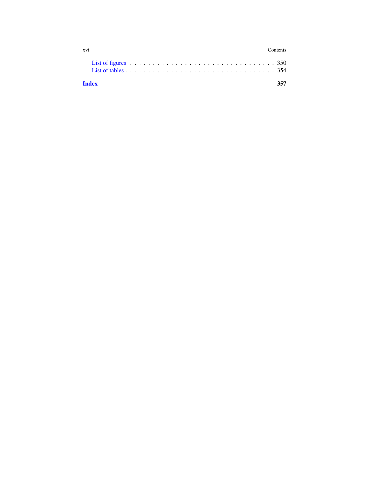| xvi          |                                                                                                                                         |  |  |  |  |  |  |  |  |  |  |  |  |  |  |  |  | Contents |  |
|--------------|-----------------------------------------------------------------------------------------------------------------------------------------|--|--|--|--|--|--|--|--|--|--|--|--|--|--|--|--|----------|--|
|              | List of tables $\ldots$ $\ldots$ $\ldots$ $\ldots$ $\ldots$ $\ldots$ $\ldots$ $\ldots$ $\ldots$ $\ldots$ $\ldots$ $\ldots$ $\ldots$ 354 |  |  |  |  |  |  |  |  |  |  |  |  |  |  |  |  |          |  |
| <b>Index</b> |                                                                                                                                         |  |  |  |  |  |  |  |  |  |  |  |  |  |  |  |  |          |  |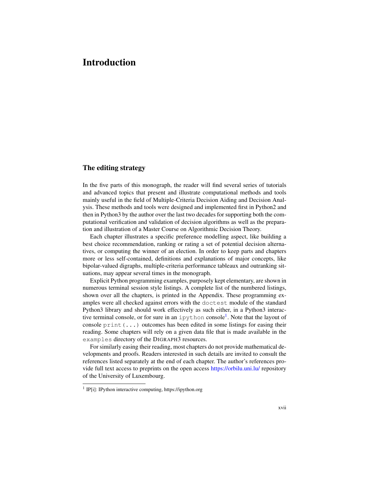# <span id="page-14-0"></span>Introduction

# <span id="page-14-1"></span>The editing strategy

In the five parts of this monograph, the reader will find several series of tutorials and advanced topics that present and illustrate computational methods and tools mainly useful in the field of Multiple-Criteria Decision Aiding and Decision Analysis. These methods and tools were designed and implemented first in Python2 and then in Python3 by the author over the last two decades for supporting both the computational verification and validation of decision algorithms as well as the preparation and illustration of a Master Course on Algorithmic Decision Theory.

Each chapter illustrates a specific preference modelling aspect, like building a best choice recommendation, ranking or rating a set of potential decision alternatives, or computing the winner of an election. In order to keep parts and chapters more or less self-contained, definitions and explanations of major concepts, like bipolar-valued digraphs, multiple-criteria performance tableaux and outranking situations, may appear several times in the monograph.

Explicit Python programming examples, purposely kept elementary, are shown in numerous terminal session style listings. A complete list of the numbered listings, shown over all the chapters, is printed in the Appendix. These programming examples were all checked against errors with the doctest module of the standard Python3 library and should work effectively as such either, in a Python3 interac-tive terminal console, or for sure in an ipython console<sup>[1](#page-14-2)</sup>. Note that the layout of console print  $(\ldots)$  outcomes has been edited in some listings for easing their reading. Some chapters will rely on a given data file that is made available in the examples directory of the DIGRAPH3 resources.

For similarly easing their reading, most chapters do not provide mathematical developments and proofs. Readers interested in such details are invited to consult the references listed separately at the end of each chapter. The author's references provide full text access to preprints on the open access <https://orbilu.uni.lu/> repository of the University of Luxembourg.

<span id="page-14-2"></span><sup>&</sup>lt;sup>1</sup> IP[i]: IPython interactive computing, https://ipython.org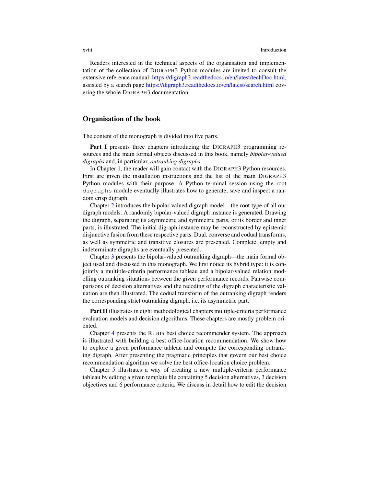#### xviii Introduction

Readers interested in the technical aspects of the organisation and implementation of the collection of DIGRAPH3 Python modules are invited to consult the extensive reference manual: [https://digraph3.readthedocs.io/en/latest/techDoc.html,](https://digraph3.readthedocs.io/en/latest/techDoc.html) assisted by a search page <https://digraph3.readthedocs.io/en/latest/search.html> covering the whole DIGRAPH3 documentation.

# <span id="page-15-0"></span>Organisation of the book

The content of the monograph is divided into five parts.

Part I presents three chapters introducing the DIGRAPH3 programming resources and the main formal objects discussed in this book, namely *bipolar-valued digraphs* and, in particular, *outranking digraphs*.

In Chapter [1,](#page--1-0) the reader will gain contact with the DIGRAPH3 Python resources. First are given the installation instructions and the list of the main DIGRAPH3 Python modules with their purpose. A Python terminal session using the root digraphs module eventually illustrates how to generate, save and inspect a random crisp digraph.

Chapter [2](#page--1-0) introduces the bipolar-valued digraph model—the root type of all our digraph models. A randomly bipolar-valued digraph instance is generated. Drawing the digraph, separating its asymmetric and symmetric parts, or its border and inner parts, is illustrated. The initial digraph instance may be reconstructed by epistemic disjunctive fusion from these respective parts. Dual, converse and codual transforms, as well as symmetric and transitive closures are presented. Complete, empty and indeterminate digraphs are eventually presented.

Chapter [3](#page--1-0) presents the bipolar-valued outranking digraph—the main formal object used and discussed in this monograph. We first notice its hybrid type: it is conjointly a multiple-criteria performance tableau and a bipolar-valued relation modelling outranking situations between the given performance records. Pairwise comparisons of decision alternatives and the recoding of the digraph characteristic valuation are then illustrated. The codual transform of the outranking digraph renders the corresponding strict outranking digraph, i.e. its asymmetric part.

Part II illustrates in eight methodological chapters multiple-criteria performance evaluation models and decision algorithms. These chapters are mostly problem oriented.

Chapter [4](#page--1-0) presents the RUBIS best choice recommender system. The approach is illustrated with building a best office-location recommendation. We show how to explore a given performance tableau and compute the corresponding outranking digraph. After presenting the pragmatic principles that govern our best choice recommendation algorithm we solve the best office-location choice problem.

Chapter [5](#page--1-0) illustrates a way of creating a new multiple-criteria performance tableau by editing a given template file containing 5 decision alternatives, 3 decision objectives and 6 performance criteria. We discuss in detail how to edit the decision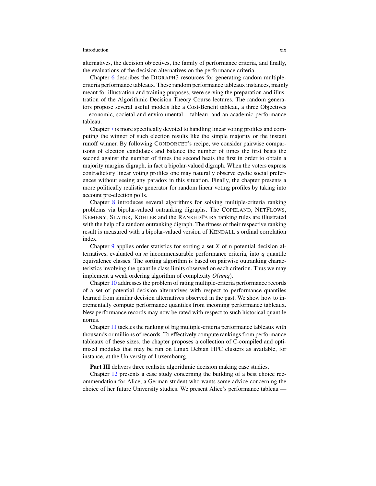## Introduction xix

alternatives, the decision objectives, the family of performance criteria, and finally, the evaluations of the decision alternatives on the performance criteria.

Chapter [6](#page--1-0) describes the DIGRAPH3 resources for generating random multiplecriteria performance tableaux. These random performance tableaux instances, mainly meant for illustration and training purposes, were serving the preparation and illustration of the Algorithmic Decision Theory Course lectures. The random generators propose several useful models like a Cost-Benefit tableau, a three Objectives —economic, societal and environmental-– tableau, and an academic performance tableau.

Chapter [7](#page--1-0) is more specifically devoted to handling linear voting profiles and computing the winner of such election results like the simple majority or the instant runoff winner. By following CONDORCET's recipe, we consider pairwise comparisons of election candidates and balance the number of times the first beats the second against the number of times the second beats the first in order to obtain a majority margins digraph, in fact a bipolar-valued digraph. When the voters express contradictory linear voting profiles one may naturally observe cyclic social preferences without seeing any paradox in this situation. Finally, the chapter presents a more politically realistic generator for random linear voting profiles by taking into account pre-election polls.

Chapter [8](#page--1-0) introduces several algorithms for solving multiple-criteria ranking problems via bipolar-valued outranking digraphs. The COPELAND, NETFLOWS, KEMENY, SLATER, KOHLER and the RANKEDPAIRS ranking rules are illustrated with the help of a random outranking digraph. The fitness of their respective ranking result is measured with a bipolar-valued version of KENDALL's ordinal correlation index.

Chapter [9](#page--1-0) applies order statistics for sorting a set *X* of n potential decision alternatives, evaluated on *m* incommensurable performance criteria, into *q* quantile equivalence classes. The sorting algorithm is based on pairwise outranking characteristics involving the quantile class limits observed on each criterion. Thus we may implement a weak ordering algorithm of complexity *O*(*nmq*).

Chapter [10](#page--1-0) addresses the problem of rating multiple-criteria performance records of a set of potential decision alternatives with respect to performance quantiles learned from similar decision alternatives observed in the past. We show how to incrementally compute performance quantiles from incoming performance tableaux. New performance records may now be rated with respect to such historical quantile norms.

Chapter [11](#page--1-0) tackles the ranking of big multiple-criteria performance tableaux with thousands or millions of records. To effectively compute rankings from performance tableaux of these sizes, the chapter proposes a collection of C-compiled and optimised modules that may be run on Linux Debian HPC clusters as available, for instance, at the University of Luxembourg.

Part III delivers three realistic algorithmic decision making case studies.

Chapter [12](#page--1-0) presents a case study concerning the building of a best choice recommendation for Alice, a German student who wants some advice concerning the choice of her future University studies. We present Alice's performance tableau —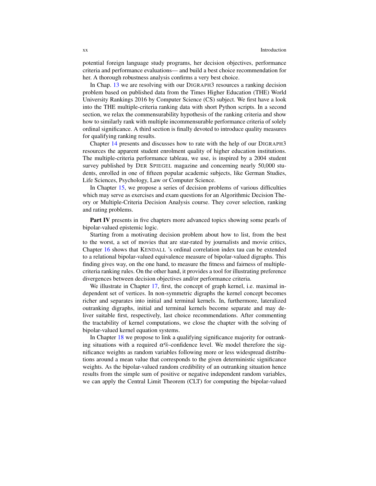potential foreign language study programs, her decision objectives, performance criteria and performance evaluations— and build a best choice recommendation for her. A thorough robustness analysis confirms a very best choice.

In Chap. [13](#page--1-0) we are resolving with our DIGRAPH3 resources a ranking decision problem based on published data from the Times Higher Education (THE) World University Rankings 2016 by Computer Science (CS) subject. We first have a look into the THE multiple-criteria ranking data with short Python scripts. In a second section, we relax the commensurability hypothesis of the ranking criteria and show how to similarly rank with multiple incommensurable performance criteria of solely ordinal significance. A third section is finally devoted to introduce quality measures for qualifying ranking results.

Chapter [14](#page--1-0) presents and discusses how to rate with the help of our DIGRAPH3 resources the apparent student enrolment quality of higher education institutions. The multiple-criteria performance tableau, we use, is inspired by a 2004 student survey published by DER SPIEGEL magazine and concerning nearly 50,000 students, enrolled in one of fifteen popular academic subjects, like German Studies, Life Sciences, Psychology, Law or Computer Science.

In Chapter [15,](#page--1-0) we propose a series of decision problems of various difficulties which may serve as exercises and exam questions for an Algorithmic Decision Theory or Multiple-Criteria Decision Analysis course. They cover selection, ranking and rating problems.

Part IV presents in five chapters more advanced topics showing some pearls of bipolar-valued epistemic logic.

Starting from a motivating decision problem about how to list, from the best to the worst, a set of movies that are star-rated by journalists and movie critics, Chapter [16](#page--1-0) shows that KENDALL 's ordinal correlation index tau can be extended to a relational bipolar-valued equivalence measure of bipolar-valued digraphs. This finding gives way, on the one hand, to measure the fitness and fairness of multiplecriteria ranking rules. On the other hand, it provides a tool for illustrating preference divergences between decision objectives and/or performance criteria.

We illustrate in Chapter [17,](#page--1-0) first, the concept of graph kernel, i.e. maximal independent set of vertices. In non-symmetric digraphs the kernel concept becomes richer and separates into initial and terminal kernels. In, furthermore, lateralized outranking digraphs, initial and terminal kernels become separate and may deliver suitable first, respectively, last choice recommendations. After commenting the tractability of kernel computations, we close the chapter with the solving of bipolar-valued kernel equation systems.

In Chapter [18](#page--1-0) we propose to link a qualifying significance majority for outranking situations with a required  $\alpha\%$ -confidence level. We model therefore the significance weights as random variables following more or less widespread distributions around a mean value that corresponds to the given deterministic significance weights. As the bipolar-valued random credibility of an outranking situation hence results from the simple sum of positive or negative independent random variables, we can apply the Central Limit Theorem (CLT) for computing the bipolar-valued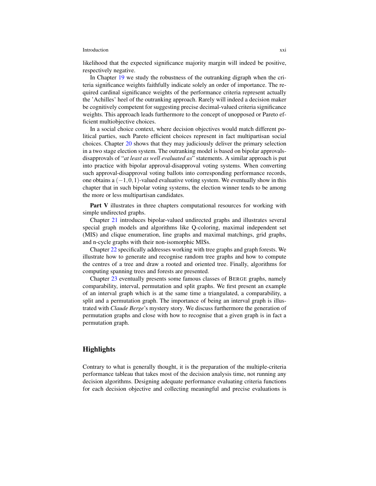### Introduction xxi

likelihood that the expected significance majority margin will indeed be positive, respectively negative.

In Chapter [19](#page--1-0) we study the robustness of the outranking digraph when the criteria significance weights faithfully indicate solely an order of importance. The required cardinal significance weights of the performance criteria represent actually the 'Achilles' heel of the outranking approach. Rarely will indeed a decision maker be cognitively competent for suggesting precise decimal-valued criteria significance weights. This approach leads furthermore to the concept of unopposed or Pareto efficient multiobjective choices.

In a social choice context, where decision objectives would match different political parties, such Pareto efficient choices represent in fact multipartisan social choices. Chapter [20](#page--1-0) shows that they may judiciously deliver the primary selection in a two stage election system. The outranking model is based on bipolar approvalsdisapprovals of "*at least as well evaluated as*" statements. A similar approach is put into practice with bipolar approval-disapproval voting systems. When converting such approval-disapproval voting ballots into corresponding performance records, one obtains a  $(-1,0,1)$ -valued evaluative voting system. We eventually show in this chapter that in such bipolar voting systems, the election winner tends to be among the more or less multipartisan candidates.

Part V illustrates in three chapters computational resources for working with simple undirected graphs.

Chapter [21](#page--1-0) introduces bipolar-valued undirected graphs and illustrates several special graph models and algorithms like Q-coloring, maximal independent set (MIS) and clique enumeration, line graphs and maximal matchings, grid graphs, and n-cycle graphs with their non-isomorphic MISs.

Chapter [22](#page--1-0) specifically addresses working with tree graphs and graph forests. We illustrate how to generate and recognise random tree graphs and how to compute the centres of a tree and draw a rooted and oriented tree. Finally, algorithms for computing spanning trees and forests are presented.

Chapter [23](#page--1-0) eventually presents some famous classes of BERGE graphs, namely comparability, interval, permutation and split graphs. We first present an example of an interval graph which is at the same time a triangulated, a comparability, a split and a permutation graph. The importance of being an interval graph is illustrated with *Claude Berge*'s mystery story. We discuss furthermore the generation of permutation graphs and close with how to recognise that a given graph is in fact a permutation graph.

# <span id="page-18-0"></span>**Highlights**

Contrary to what is generally thought, it is the preparation of the multiple-criteria performance tableau that takes most of the decision analysis time, not running any decision algorithms. Designing adequate performance evaluating criteria functions for each decision objective and collecting meaningful and precise evaluations is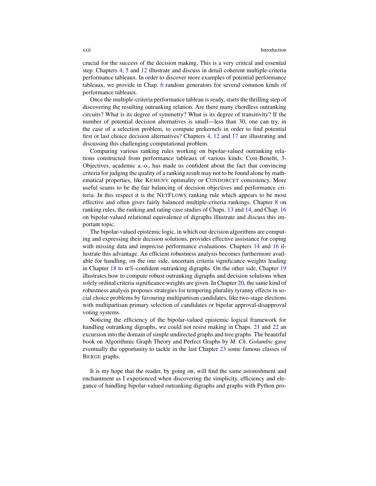crucial for the success of the decision making. This is a very critical and essential step. Chapters [4,](#page--1-0) [5](#page--1-0) and [12](#page--1-0) illustrate and discuss in detail coherent multiple-criteria performance tableaux. In order to discover more examples of potential performance tableaux, we provide in Chap. [6](#page--1-0) random generators for several common kinds of performance tableaux.

Once the multiple-criteria performance tableau is ready, starts the thrilling step of discovering the resulting outranking relation. Are there many chordless outranking circuits? What is its degree of symmetry? What is its degree of transitivity? If the number of potential decision alternatives is small—less than 30, one can try, in the case of a selection problem, to compute prekernels in order to find potential first or last choice decision alternatives? Chapters [4,](#page--1-0) [12](#page--1-0) and [17](#page--1-0) are illustrating and discussing this challenging computational problem.

Comparing various ranking rules working on bipolar-valued outranking relations constructed from performance tableaux of various kinds: Cost-Benefit, 3- Objectives, academic a.-o., has made us confident about the fact that convincing criteria for judging the quality of a ranking result may not to be found alone by mathematical properties, like KEMENY optimality or CONDORCET consistency. More useful seams to be the fair balancing of decision objectives and performance criteria. In this respect it is the NETFLOWS ranking rule which appears to be most effective and often gives fairly balanced multiple-criteria rankings. Chapter [8](#page--1-0) on ranking rules, the ranking and rating case studies of Chaps. [13](#page--1-0) and [14,](#page--1-0) and Chap. [16](#page--1-0) on bipolar-valued relational equivalence of digraphs illustrate and discuss this important topic.

The bipolar-valued epistemic logic, in which our decision algorithms are computing and expressing their decision solutions, provides effective assistance for coping with missing data and imprecise performance evaluations. Chapters [14](#page--1-0) and [16](#page--1-0) illustrate this advantage. An efficient robustness analysis becomes furthermore available for handling, on the one side, uncertain criteria significance weights leading in Chapter [18](#page--1-0) to  $\alpha\%$ -confident outranking digraphs. On the other side, Chapter [19](#page--1-0) illustrates how to compute robust outranking digraphs and decision solutions when solely ordinal criteria significance weights are given. In Chapter [20,](#page--1-0) the same kind of robustness analysis proposes strategies for tempering plurality tyranny effects in social choice problems by favouring multipartisan candidates, like two-stage elections with multipartisan primary selection of candidates or bipolar approval-disapproval voting systems.

Noticing the efficiency of the bipolar-valued epistemic logical framework for handling outranking digraphs, we could not resist making in Chaps. [21](#page--1-0) and [22](#page--1-0) an excursion into the domain of simple undirected graphs and tree graphs. The beautiful book on Algorithmic Graph Theory and Perfect Graphs by *M. Ch. Golumbic* gave eventually the opportunity to tackle in the last Chapter [23](#page--1-0) some famous classes of BERGE graphs.

It is my hope that the reader, by going on, will find the same astonishment and enchantment as I experienced when discovering the simplicity, efficiency and elegance of handling bipolar-valued outranking digraphs and graphs with Python pro-